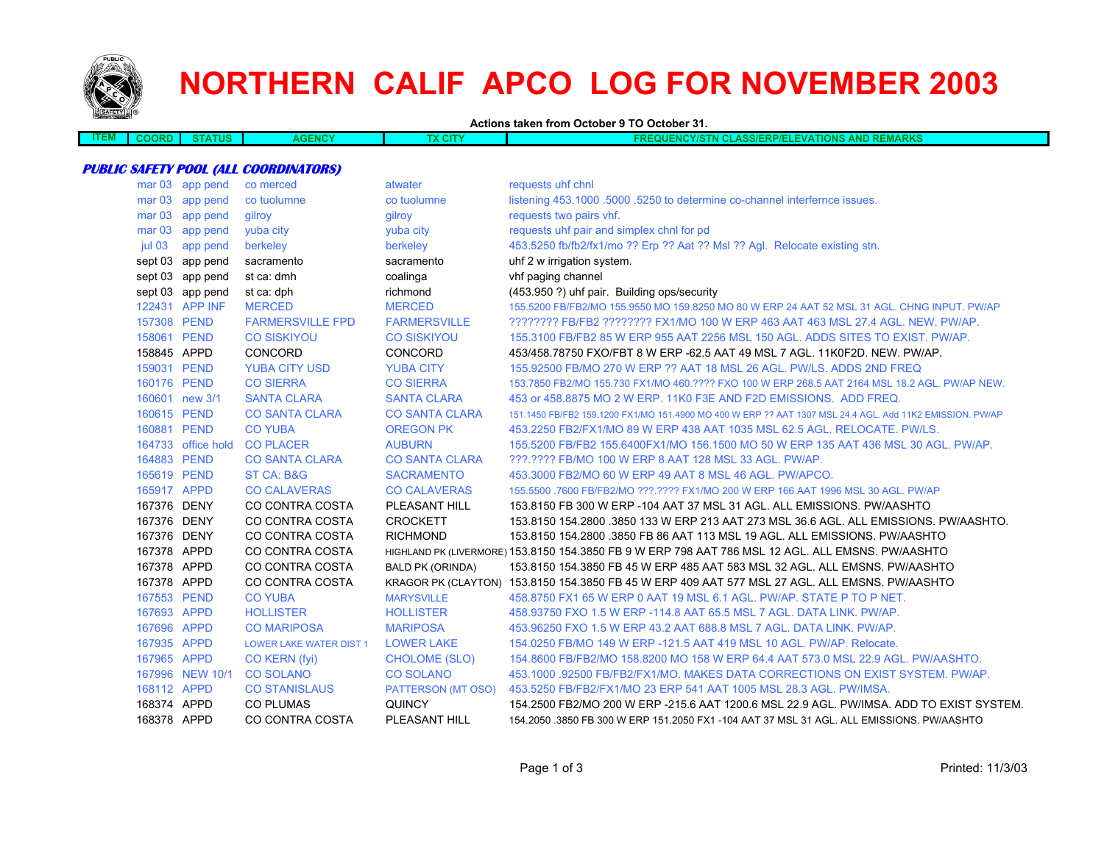

# **NORTHERN CALIF APCO LOG FOR NOVEMBER 2003**

**Actions taken from October 9 TO October 31.**

| w | æ | பண | ENCY | . . | <b>DIZO</b><br>ww<br>87 A<br>. .<br>. .<br>nne<br>$\sim$<br>.<br>.<br>.<br>.<br>. |
|---|---|----|------|-----|-----------------------------------------------------------------------------------|
|   |   |    |      |     |                                                                                   |

#### **PUBLIC SAFETY POOL (ALL COORDINATORS)**

| mar <sub>03</sub> | app pend           | co merced                      | atwater                   | requests uhf chnl                                                                                        |
|-------------------|--------------------|--------------------------------|---------------------------|----------------------------------------------------------------------------------------------------------|
| mar <sub>03</sub> | app pend           | co tuolumne                    | co tuolumne               | listening 453.1000 .5000 .5250 to determine co-channel interfernce issues.                               |
| mar <sub>03</sub> | app pend           | gilroy                         | gilroy                    | requests two pairs vhf.                                                                                  |
| mar <sub>03</sub> | app pend           | yuba city                      | yuba city                 | requests uhf pair and simplex chnl for pd                                                                |
| jul 03            | app pend           | berkeley                       | berkeley                  | 453.5250 fb/fb2/fx1/mo ?? Erp ?? Aat ?? Msl ?? Agl. Relocate existing stn.                               |
|                   | sept 03 app pend   | sacramento                     | sacramento                | uhf 2 w irrigation system.                                                                               |
|                   | sept 03 app pend   | st ca: dmh                     | coalinga                  | vhf paging channel                                                                                       |
|                   | sept 03 app pend   | st ca: dph                     | richmond                  | (453.950 ?) uhf pair. Building ops/security                                                              |
|                   | 122431 APP INF     | <b>MERCED</b>                  | <b>MERCED</b>             | 155,5200 FB/FB2/MO 155,9550 MO 159,8250 MO 80 W ERP 24 AAT 52 MSL 31 AGL, CHNG INPUT, PW/AP              |
| 157308 PEND       |                    | <b>FARMERSVILLE FPD</b>        | <b>FARMERSVILLE</b>       | ???????? FB/FB2 ???????? FX1/MO 100 W ERP 463 AAT 463 MSL 27.4 AGL. NEW. PW/AP.                          |
| 158061 PEND       |                    | <b>CO SISKIYOU</b>             | <b>CO SISKIYOU</b>        | 155.3100 FB/FB2 85 W ERP 955 AAT 2256 MSL 150 AGL. ADDS SITES TO EXIST. PW/AP.                           |
| 158845 APPD       |                    | <b>CONCORD</b>                 | CONCORD                   | 453/458.78750 FXO/FBT 8 W ERP -62.5 AAT 49 MSL 7 AGL, 11K0F2D, NEW, PW/AP,                               |
| 159031 PEND       |                    | <b>YUBA CITY USD</b>           | <b>YUBA CITY</b>          | 155,92500 FB/MO 270 W ERP ?? AAT 18 MSL 26 AGL, PW/LS, ADDS 2ND FREQ                                     |
| 160176 PEND       |                    | <b>CO SIERRA</b>               | <b>CO SIERRA</b>          | 153.7850 FB2/MO 155.730 FX1/MO 460.???? FXO 100 W ERP 268.5 AAT 2164 MSL 18.2 AGL. PW/AP NEW.            |
|                   | 160601 new 3/1     | <b>SANTA CLARA</b>             | <b>SANTA CLARA</b>        | 453 or 458,8875 MO 2 W ERP, 11K0 F3E AND F2D EMISSIONS. ADD FREQ.                                        |
| 160615 PEND       |                    | <b>CO SANTA CLARA</b>          | <b>CO SANTA CLARA</b>     | 151.1450 FB/FB2 159.1200 FX1/MO 151.4900 MO 400 W ERP ?? AAT 1307 MSL 24.4 AGL. Add 11K2 EMISSION, PW/AP |
| 160881 PEND       |                    | <b>CO YUBA</b>                 | <b>OREGON PK</b>          | 453.2250 FB2/FX1/MO 89 W ERP 438 AAT 1035 MSL 62.5 AGL. RELOCATE. PW/LS.                                 |
|                   | 164733 office hold | <b>CO PLACER</b>               | <b>AUBURN</b>             | 155,5200 FB/FB2 155,6400FX1/MO 156,1500 MO 50 W ERP 135 AAT 436 MSL 30 AGL, PW/AP,                       |
| 164883 PEND       |                    | <b>CO SANTA CLARA</b>          | <b>CO SANTA CLARA</b>     | ???.???? FB/MO 100 W ERP 8 AAT 128 MSL 33 AGL, PW/AP.                                                    |
| 165619 PEND       |                    | <b>ST CA: B&amp;G</b>          | <b>SACRAMENTO</b>         | 453,3000 FB2/MO 60 W ERP 49 AAT 8 MSL 46 AGL, PW/APCO.                                                   |
| 165917 APPD       |                    | <b>CO CALAVERAS</b>            | <b>CO CALAVERAS</b>       | 155,5500 .7600 FB/FB2/MO ???.???? FX1/MO 200 W ERP 166 AAT 1996 MSL 30 AGL, PW/AP                        |
| 167376 DENY       |                    | CO CONTRA COSTA                | PLEASANT HILL             | 153.8150 FB 300 W ERP -104 AAT 37 MSL 31 AGL. ALL EMISSIONS. PW/AASHTO                                   |
| 167376 DENY       |                    | CO CONTRA COSTA                | <b>CROCKETT</b>           | 153.8150 154.2800 .3850 133 W ERP 213 AAT 273 MSL 36.6 AGL. ALL EMISSIONS. PW/AASHTO.                    |
| 167376 DENY       |                    | <b>CO CONTRA COSTA</b>         | <b>RICHMOND</b>           | 153.8150 154.2800 .3850 FB 86 AAT 113 MSL 19 AGL. ALL EMISSIONS. PW/AASHTO                               |
| 167378 APPD       |                    | CO CONTRA COSTA                |                           | HIGHLAND PK (LIVERMORE) 153.8150 154.3850 FB 9 W ERP 798 AAT 786 MSL 12 AGL. ALL EMSNS. PW/AASHTO        |
| 167378 APPD       |                    | CO CONTRA COSTA                | <b>BALD PK (ORINDA)</b>   | 153.8150 154.3850 FB 45 W ERP 485 AAT 583 MSL 32 AGL. ALL EMSNS. PW/AASHTO                               |
| 167378 APPD       |                    | CO CONTRA COSTA                |                           | KRAGOR PK (CLAYTON) 153.8150 154.3850 FB 45 W ERP 409 AAT 577 MSL 27 AGL. ALL EMSNS. PW/AASHTO           |
| 167553 PEND       |                    | <b>CO YUBA</b>                 | <b>MARYSVILLE</b>         | 458,8750 FX1 65 W ERP 0 AAT 19 MSL 6.1 AGL, PW/AP, STATE P TO P NET.                                     |
| 167693 APPD       |                    | <b>HOLLISTER</b>               | <b>HOLLISTER</b>          | 458.93750 FXO 1.5 W ERP -114.8 AAT 65.5 MSL 7 AGL. DATA LINK. PW/AP.                                     |
| 167696 APPD       |                    | <b>CO MARIPOSA</b>             | <b>MARIPOSA</b>           | 453,96250 FXO 1.5 W ERP 43.2 AAT 688.8 MSL 7 AGL, DATA LINK, PW/AP.                                      |
| 167935 APPD       |                    | <b>LOWER LAKE WATER DIST 1</b> | <b>LOWER LAKE</b>         | 154.0250 FB/MO 149 W ERP -121.5 AAT 419 MSL 10 AGL. PW/AP. Relocate.                                     |
| 167965 APPD       |                    | CO KERN (fyi)                  | <b>CHOLOME (SLO)</b>      | 154,8600 FB/FB2/MO 158,8200 MO 158 W ERP 64.4 AAT 573.0 MSL 22.9 AGL, PW/AASHTO.                         |
|                   | 167996 NEW 10/1    | <b>CO SOLANO</b>               | <b>CO SOLANO</b>          | 453,1000 .92500 FB/FB2/FX1/MO, MAKES DATA CORRECTIONS ON EXIST SYSTEM, PW/AP.                            |
| 168112 APPD       |                    | <b>CO STANISLAUS</b>           | <b>PATTERSON (MT OSO)</b> | 453.5250 FB/FB2/FX1/MO 23 ERP 541 AAT 1005 MSL 28.3 AGL. PW/IMSA.                                        |
| 168374 APPD       |                    | <b>CO PLUMAS</b>               | <b>QUINCY</b>             | 154.2500 FB2/MO 200 W ERP -215.6 AAT 1200.6 MSL 22.9 AGL, PW/IMSA, ADD TO EXIST SYSTEM.                  |
| 168378 APPD       |                    | CO CONTRA COSTA                | PLEASANT HILL             | 154.2050 .3850 FB 300 W ERP 151.2050 FX1 -104 AAT 37 MSL 31 AGL. ALL EMISSIONS. PW/AASHTO                |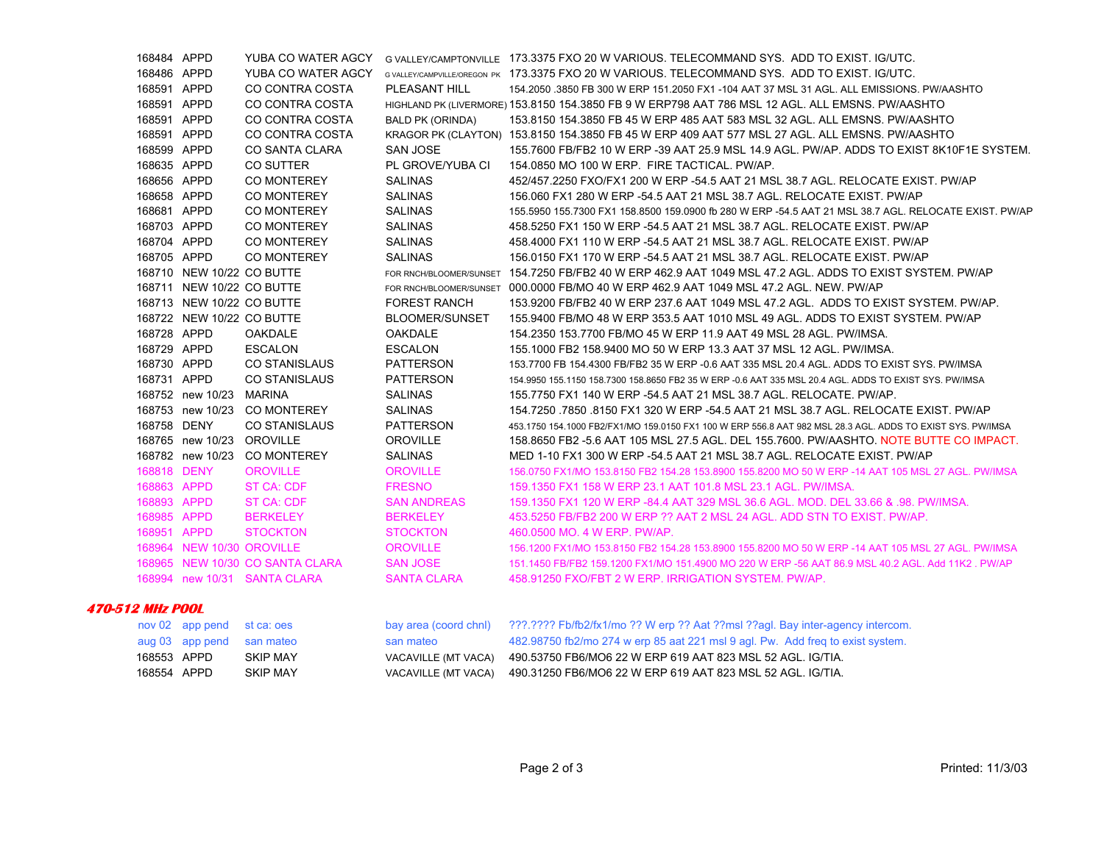| 168484 APPD |                           | YUBA CO WATER AGCY              |                         | G VALLEY/CAMPTONVILLE 173.3375 FXO 20 W VARIOUS, TELECOMMAND SYS. ADD TO EXIST, IG/UTC.                    |
|-------------|---------------------------|---------------------------------|-------------------------|------------------------------------------------------------------------------------------------------------|
| 168486 APPD |                           | YUBA CO WATER AGCY              |                         | GVALLEY/CAMPVILLE/OREGON PK 173.3375 FXO 20 W VARIOUS. TELECOMMAND SYS. ADD TO EXIST. IG/UTC.              |
| 168591 APPD |                           | CO CONTRA COSTA                 | PLEASANT HILL           | 154.2050 .3850 FB 300 W ERP 151.2050 FX1 -104 AAT 37 MSL 31 AGL. ALL EMISSIONS, PW/AASHTO                  |
| 168591 APPD |                           | CO CONTRA COSTA                 |                         | HIGHLAND PK (LIVERMORE) 153.8150 154.3850 FB 9 W ERP798 AAT 786 MSL 12 AGL. ALL EMSNS. PW/AASHTO           |
| 168591 APPD |                           | CO CONTRA COSTA                 | <b>BALD PK (ORINDA)</b> | 153.8150 154.3850 FB 45 W ERP 485 AAT 583 MSL 32 AGL, ALL EMSNS, PW/AASHTO                                 |
| 168591 APPD |                           | CO CONTRA COSTA                 |                         | KRAGOR PK (CLAYTON) 153.8150 154.3850 FB 45 W ERP 409 AAT 577 MSL 27 AGL. ALL EMSNS. PW/AASHTO             |
| 168599 APPD |                           | CO SANTA CLARA                  | <b>SAN JOSE</b>         | 155.7600 FB/FB2 10 W ERP -39 AAT 25.9 MSL 14.9 AGL. PW/AP. ADDS TO EXIST 8K10F1E SYSTEM.                   |
| 168635 APPD |                           | CO SUTTER                       | PL GROVE/YUBA CI        | 154.0850 MO 100 W ERP. FIRE TACTICAL. PW/AP.                                                               |
| 168656 APPD |                           | <b>CO MONTEREY</b>              | <b>SALINAS</b>          | 452/457.2250 FXO/FX1 200 W ERP -54.5 AAT 21 MSL 38.7 AGL. RELOCATE EXIST. PW/AP                            |
| 168658 APPD |                           | <b>CO MONTEREY</b>              | <b>SALINAS</b>          | 156.060 FX1 280 W ERP -54.5 AAT 21 MSL 38.7 AGL. RELOCATE EXIST. PW/AP                                     |
| 168681 APPD |                           | <b>CO MONTEREY</b>              | <b>SALINAS</b>          | 155.5950 155.7300 FX1 158.8500 159.0900 fb 280 W ERP -54.5 AAT 21 MSL 38.7 AGL. RELOCATE EXIST. PW/AP      |
| 168703 APPD |                           | CO MONTEREY                     | <b>SALINAS</b>          | 458,5250 FX1 150 W ERP -54.5 AAT 21 MSL 38.7 AGL. RELOCATE EXIST. PW/AP                                    |
| 168704 APPD |                           | CO MONTEREY                     | <b>SALINAS</b>          | 458,4000 FX1 110 W ERP -54.5 AAT 21 MSL 38.7 AGL. RELOCATE EXIST. PW/AP                                    |
| 168705 APPD |                           | <b>CO MONTEREY</b>              | <b>SALINAS</b>          | 156,0150 FX1 170 W ERP -54.5 AAT 21 MSL 38.7 AGL, RELOCATE EXIST, PW/AP                                    |
|             | 168710 NEW 10/22 CO BUTTE |                                 | FOR RNCH/BLOOMER/SUNSET | 154,7250 FB/FB2 40 W ERP 462.9 AAT 1049 MSL 47.2 AGL, ADDS TO EXIST SYSTEM, PW/AP                          |
|             | 168711 NEW 10/22 CO BUTTE |                                 |                         | FOR RNCH/BLOOMER/SUNSET 000.0000 FB/MO 40 W ERP 462.9 AAT 1049 MSL 47.2 AGL, NEW, PW/AP                    |
|             | 168713 NEW 10/22 CO BUTTE |                                 | <b>FOREST RANCH</b>     | 153,9200 FB/FB2 40 W ERP 237.6 AAT 1049 MSL 47.2 AGL. ADDS TO EXIST SYSTEM, PW/AP.                         |
|             | 168722 NEW 10/22 CO BUTTE |                                 | <b>BLOOMER/SUNSET</b>   | 155.9400 FB/MO 48 W ERP 353.5 AAT 1010 MSL 49 AGL. ADDS TO EXIST SYSTEM. PW/AP                             |
| 168728 APPD |                           | OAKDALE                         | <b>OAKDALE</b>          | 154.2350 153.7700 FB/MO 45 W ERP 11.9 AAT 49 MSL 28 AGL, PW/IMSA.                                          |
| 168729 APPD |                           | <b>ESCALON</b>                  | <b>ESCALON</b>          | 155.1000 FB2 158.9400 MO 50 W ERP 13.3 AAT 37 MSL 12 AGL. PW/IMSA.                                         |
| 168730 APPD |                           | <b>CO STANISLAUS</b>            | <b>PATTERSON</b>        | 153.7700 FB 154.4300 FB/FB2 35 W ERP -0.6 AAT 335 MSL 20.4 AGL. ADDS TO EXIST SYS. PW/IMSA                 |
| 168731 APPD |                           | <b>CO STANISLAUS</b>            | <b>PATTERSON</b>        | 154.9950 155.1150 158.7300 158.8650 FB2 35 W ERP -0.6 AAT 335 MSL 20.4 AGL. ADDS TO EXIST SYS. PW/IMSA     |
|             | 168752 new 10/23          | <b>MARINA</b>                   | <b>SALINAS</b>          | 155.7750 FX1 140 W ERP -54.5 AAT 21 MSL 38.7 AGL. RELOCATE. PW/AP.                                         |
|             |                           | 168753 new 10/23 CO MONTEREY    | <b>SALINAS</b>          | 154 7250 .7850 .8150 FX1 320 W ERP -54.5 AAT 21 MSL 38.7 AGL. RELOCATE EXIST. PW/AP                        |
| 168758 DENY |                           | <b>CO STANISLAUS</b>            | <b>PATTERSON</b>        | 453.1750 154.1000 FB2/FX1/MO 159.0150 FX1 100 W ERP 556.8 AAT 982 MSL 28.3 AGL. ADDS TO EXIST SYS, PW/IMSA |
|             | 168765 new 10/23          | <b>OROVILLE</b>                 | <b>OROVILLE</b>         | 158,8650 FB2 -5.6 AAT 105 MSL 27.5 AGL, DEL 155,7600, PW/AASHTO, NOTE BUTTE CO IMPACT.                     |
|             | 168782 new 10/23          | <b>CO MONTEREY</b>              | <b>SALINAS</b>          | MED 1-10 FX1 300 W ERP -54.5 AAT 21 MSL 38.7 AGL, RELOCATE EXIST, PW/AP                                    |
| 168818 DENY |                           | <b>OROVILLE</b>                 | <b>OROVILLE</b>         | 156.0750 FX1/MO 153.8150 FB2 154.28 153.8900 155.8200 MO 50 W ERP -14 AAT 105 MSL 27 AGL. PW/IMSA          |
| 168863 APPD |                           | ST CA: CDF                      | <b>FRESNO</b>           | 159.1350 FX1 158 W ERP 23.1 AAT 101.8 MSL 23.1 AGL. PW/IMSA.                                               |
| 168893 APPD |                           | <b>ST CA: CDF</b>               | <b>SAN ANDREAS</b>      | 159.1350 FX1 120 W ERP -84.4 AAT 329 MSL 36.6 AGL, MOD, DEL 33.66 & .98, PW/IMSA,                          |
| 168985 APPD |                           | <b>BERKELEY</b>                 | <b>BERKELEY</b>         | 453.5250 FB/FB2 200 W ERP ?? AAT 2 MSL 24 AGL. ADD STN TO EXIST. PW/AP.                                    |
| 168951 APPD |                           | <b>STOCKTON</b>                 | <b>STOCKTON</b>         | 460.0500 MO. 4 W ERP. PW/AP.                                                                               |
|             | 168964 NEW 10/30 OROVILLE |                                 | <b>OROVILLE</b>         | 156.1200 FX1/MO 153.8150 FB2 154.28 153.8900 155.8200 MO 50 W ERP -14 AAT 105 MSL 27 AGL, PW/IMSA          |
|             |                           | 168965 NEW 10/30 CO SANTA CLARA | <b>SAN JOSE</b>         | 151.1450 FB/FB2 159.1200 FX1/MO 151.4900 MO 220 W ERP -56 AAT 86.9 MSL 40.2 AGL. Add 11K2 . PW/AP          |
|             |                           | 168994 new 10/31 SANTA CLARA    | <b>SANTA CLARA</b>      | 458.91250 FXO/FBT 2 W ERP. IRRIGATION SYSTEM, PW/AP.                                                       |
|             |                           |                                 |                         |                                                                                                            |

#### **470-512 MHz POOL**

|             | nov 02 app pend st ca: oes |                           | bay area (coord chnl) | ???.???? Fb/fb2/fx1/mo ?? W erp ?? Aat ??msl ??agl. Bay inter-agency intercom. |
|-------------|----------------------------|---------------------------|-----------------------|--------------------------------------------------------------------------------|
|             |                            | aug 03 app pend san mateo | san mateo             | 482.98750 fb2/mo 274 w erp 85 aat 221 msl 9 agl. Pw. Add freq to exist system. |
| 168553 APPD |                            | SKIP MAY                  | VACAVILLE (MT VACA)   | 490.53750 FB6/MO6 22 W ERP 619 AAT 823 MSL 52 AGL. IG/TIA.                     |
| 168554 APPD |                            | <b>SKIP MAY</b>           |                       | VACAVILLE (MT VACA) 490.31250 FB6/MO6 22 W ERP 619 AAT 823 MSL 52 AGL. IG/TIA. |